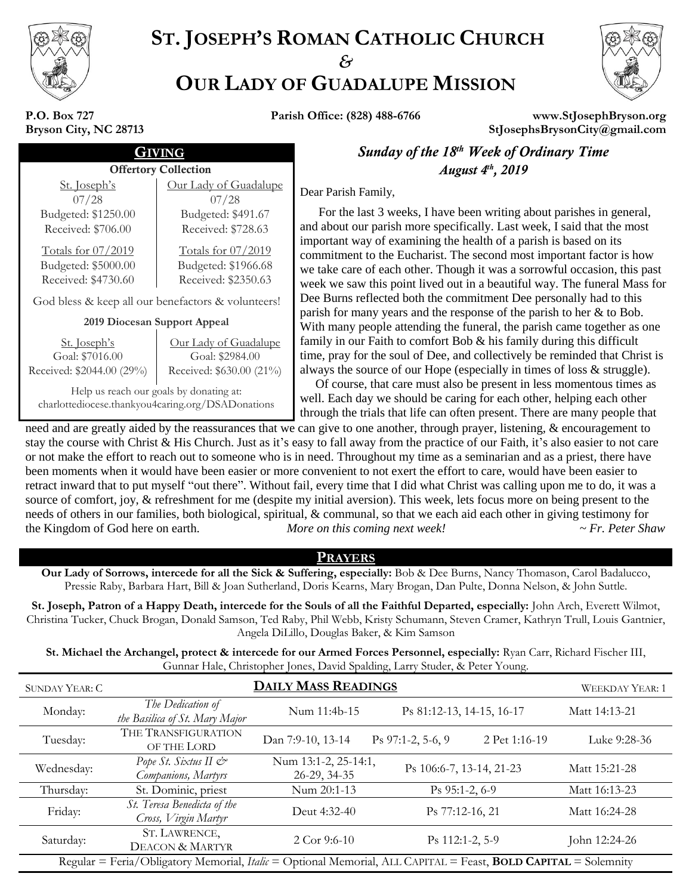

# **ST. JOSEPH'S ROMAN CATHOLIC CHURCH** *&* **OUR LADY OF GUADALUPE MISSION**



#### **P.O. Box 727 Bryson City, NC 28713**

**Parish Office: (828) 488-6766 www.StJosephBryson.org StJosephsBrysonCity@gmail.com**

| Sunday of the $18th$ Week of C                                                                 | GIVING<br><b>Offertory Collection</b>              |                              |  |
|------------------------------------------------------------------------------------------------|----------------------------------------------------|------------------------------|--|
| August $4^{th}$ , 2019                                                                         |                                                    |                              |  |
| Dear Parish Family,                                                                            | Our Lady of Guadalupe<br>07/28                     | <u>St. Joseph's</u><br>07/28 |  |
| For the last 3 weeks, I have been writing a                                                    | Budgeted: \$491.67                                 | Budgeted: \$1250.00          |  |
| and about our parish more specifically. Last v                                                 | Received: \$728.63                                 | Received: \$706.00           |  |
| important way of examining the health of a pa<br>commitment to the Eucharist. The second mo    | Totals for 07/2019                                 | Totals for 07/2019           |  |
| we take care of each other. Though it was a so                                                 | Budgeted: \$1966.68                                | Budgeted: \$5000.00          |  |
| week we saw this point lived out in a beautifu                                                 | Received: \$2350.63                                | Received: \$4730.60          |  |
| Dee Burns reflected both the commitment De                                                     | God bless & keep all our benefactors & volunteers! |                              |  |
| parish for many years and the response of the<br>With many people attending the funeral, the p | 2019 Diocesan Support Appeal                       |                              |  |
| family in our Faith to comfort Bob & his fami                                                  | Our Lady of Guadalupe                              | $St Ioseph$ <sup>2</sup> c   |  |

St. Joseph's Goal: \$7016.00 Received: \$2044.00 (29%) Our Lady of Guadalupe Goal: \$2984.00 Received: \$630.00 (21%)

Help us reach our goals by donating at: charlottediocese.thankyou4caring.org/DSADonations

GIVING *Sunday of the 18 th Week of Ordinary Time*

 For the last 3 weeks, I have been writing about parishes in general, and about our parish more specifically. Last week, I said that the most important way of examining the health of a parish is based on its commitment to the Eucharist. The second most important factor is how we take care of each other. Though it was a sorrowful occasion, this past week we saw this point lived out in a beautiful way. The funeral Mass for Dee Burns reflected both the commitment Dee personally had to this parish for many years and the response of the parish to her & to Bob. With many people attending the funeral, the parish came together as one family in our Faith to comfort Bob & his family during this difficult time, pray for the soul of Dee, and collectively be reminded that Christ is always the source of our Hope (especially in times of loss & struggle).

 Of course, that care must also be present in less momentous times as well. Each day we should be caring for each other, helping each other through the trials that life can often present. There are many people that

need and are greatly aided by the reassurances that we can give to one another, through prayer, listening, & encouragement to stay the course with Christ & His Church. Just as it's easy to fall away from the practice of our Faith, it's also easier to not care or not make the effort to reach out to someone who is in need. Throughout my time as a seminarian and as a priest, there have been moments when it would have been easier or more convenient to not exert the effort to care, would have been easier to retract inward that to put myself "out there". Without fail, every time that I did what Christ was calling upon me to do, it was a source of comfort, joy, & refreshment for me (despite my initial aversion). This week, lets focus more on being present to the needs of others in our families, both biological, spiritual, & communal, so that we each aid each other in giving testimony for the Kingdom of God here on earth. *More on this coming next week! ~ Fr. Peter Shaw*

## **PRAYERS**

**Our Lady of Sorrows, intercede for all the Sick & Suffering, especially:** Bob & Dee Burns, Nancy Thomason, Carol Badalucco, Pressie Raby, Barbara Hart, Bill & Joan Sutherland, Doris Kearns, Mary Brogan, Dan Pulte, Donna Nelson, & John Suttle.

**St. Joseph, Patron of a Happy Death, intercede for the Souls of all the Faithful Departed, especially:** John Arch, Everett Wilmot, Christina Tucker, Chuck Brogan, Donald Samson, Ted Raby, Phil Webb, Kristy Schumann, Steven Cramer, Kathryn Trull, Louis Gantnier, Angela DiLillo, Douglas Baker, & Kim Samson

**St. Michael the Archangel, protect & intercede for our Armed Forces Personnel, especially:** Ryan Carr, Richard Fischer III, Gunnar Hale, Christopher Jones, David Spalding, Larry Studer, & Peter Young.

| <b>SUNDAY YEAR: C</b>                                                                                          | <b>DAILY MASS READINGS</b>                          | <b>WEEKDAY YEAR: 1</b>               |                                      |               |  |
|----------------------------------------------------------------------------------------------------------------|-----------------------------------------------------|--------------------------------------|--------------------------------------|---------------|--|
| Monday:                                                                                                        | The Dedication of<br>the Basilica of St. Mary Major | Num 11:4b-15                         | Ps 81:12-13, 14-15, 16-17            | Matt 14:13-21 |  |
| Tuesday:                                                                                                       | THE TRANSFIGURATION<br>OF THE LORD                  | Dan 7:9-10, 13-14                    | $Ps$ 97:1-2, 5-6, 9<br>2 Pet 1:16-19 | Luke 9:28-36  |  |
| Wednesday:                                                                                                     | Pope St. Sixtus II &<br>Companions, Martyrs         | Num 13:1-2, 25-14:1,<br>26-29, 34-35 | Ps 106:6-7, 13-14, 21-23             | Matt 15:21-28 |  |
| Thursday:                                                                                                      | St. Dominic, priest                                 | Num 20:1-13                          | Ps 95:1-2, 6-9                       | Matt 16:13-23 |  |
| Friday:                                                                                                        | St. Teresa Benedicta of the<br>Cross, Virgin Martyr | Deut 4:32-40                         | Ps 77:12-16, 21                      | Matt 16:24-28 |  |
| Saturday:                                                                                                      | ST. LAWRENCE,<br><b>DEACON &amp; MARTYR</b>         | $2 \text{Cor } 9:6-10$               | Ps 112:1-2, 5-9                      | John 12:24-26 |  |
| Regular = Feria/Obligatory Memorial, Italic = Optional Memorial, ALL CAPITAL = Feast, BOLD CAPITAL = Solemnity |                                                     |                                      |                                      |               |  |